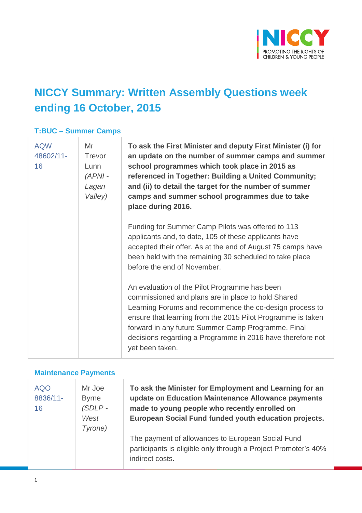

## **NICCY Summary: Written Assembly Questions week ending 16 October, 2015**

### **T:BUC – Summer Camps**

| <b>AQW</b><br>48602/11-<br>16 | Mr<br>Trevor<br>Lunn<br>$(APNI -$<br>Lagan<br>Valley) | To ask the First Minister and deputy First Minister (i) for<br>an update on the number of summer camps and summer<br>school programmes which took place in 2015 as<br>referenced in Together: Building a United Community;<br>and (ii) to detail the target for the number of summer<br>camps and summer school programmes due to take<br>place during 2016.         |
|-------------------------------|-------------------------------------------------------|----------------------------------------------------------------------------------------------------------------------------------------------------------------------------------------------------------------------------------------------------------------------------------------------------------------------------------------------------------------------|
|                               |                                                       | Funding for Summer Camp Pilots was offered to 113<br>applicants and, to date, 105 of these applicants have<br>accepted their offer. As at the end of August 75 camps have<br>been held with the remaining 30 scheduled to take place<br>before the end of November.                                                                                                  |
|                               |                                                       | An evaluation of the Pilot Programme has been<br>commissioned and plans are in place to hold Shared<br>Learning Forums and recommence the co-design process to<br>ensure that learning from the 2015 Pilot Programme is taken<br>forward in any future Summer Camp Programme. Final<br>decisions regarding a Programme in 2016 have therefore not<br>yet been taken. |

### **Maintenance Payments**

| <b>AQO</b><br>8836/11-<br>16 | Mr Joe<br><b>Byrne</b><br>$(SDLP -$<br>West<br>Tyrone) | To ask the Minister for Employment and Learning for an<br>update on Education Maintenance Allowance payments<br>made to young people who recently enrolled on<br>European Social Fund funded youth education projects. |
|------------------------------|--------------------------------------------------------|------------------------------------------------------------------------------------------------------------------------------------------------------------------------------------------------------------------------|
|                              |                                                        | The payment of allowances to European Social Fund<br>participants is eligible only through a Project Promoter's 40%<br>indirect costs.                                                                                 |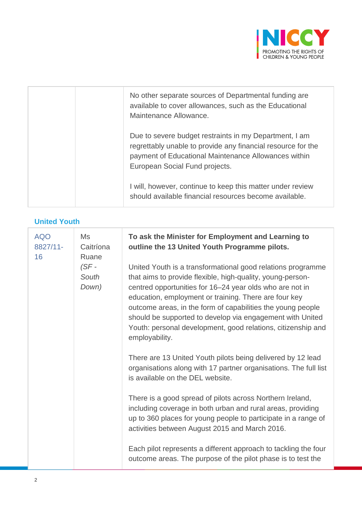

| No other separate sources of Departmental funding are<br>available to cover allowances, such as the Educational<br>Maintenance Allowance.                                                                        |
|------------------------------------------------------------------------------------------------------------------------------------------------------------------------------------------------------------------|
| Due to severe budget restraints in my Department, I am<br>regrettably unable to provide any financial resource for the<br>payment of Educational Maintenance Allowances within<br>European Social Fund projects. |
| I will, however, continue to keep this matter under review<br>should available financial resources become available.                                                                                             |

#### **United Youth**

| <b>AQO</b><br>Ms<br>8827/11-<br>Caitríona<br>16<br>Ruane<br>$(SF -$<br>South<br>Down) |                                                                                                                                                                     | To ask the Minister for Employment and Learning to<br>outline the 13 United Youth Programme pilots.                                                                                                                                                                                                                                                                                                                                                          |
|---------------------------------------------------------------------------------------|---------------------------------------------------------------------------------------------------------------------------------------------------------------------|--------------------------------------------------------------------------------------------------------------------------------------------------------------------------------------------------------------------------------------------------------------------------------------------------------------------------------------------------------------------------------------------------------------------------------------------------------------|
|                                                                                       |                                                                                                                                                                     | United Youth is a transformational good relations programme<br>that aims to provide flexible, high-quality, young-person-<br>centred opportunities for 16-24 year olds who are not in<br>education, employment or training. There are four key<br>outcome areas, in the form of capabilities the young people<br>should be supported to develop via engagement with United<br>Youth: personal development, good relations, citizenship and<br>employability. |
|                                                                                       | There are 13 United Youth pilots being delivered by 12 lead<br>organisations along with 17 partner organisations. The full list<br>is available on the DEL website. |                                                                                                                                                                                                                                                                                                                                                                                                                                                              |
|                                                                                       |                                                                                                                                                                     | There is a good spread of pilots across Northern Ireland,<br>including coverage in both urban and rural areas, providing<br>up to 360 places for young people to participate in a range of<br>activities between August 2015 and March 2016.                                                                                                                                                                                                                 |
|                                                                                       |                                                                                                                                                                     | Each pilot represents a different approach to tackling the four<br>outcome areas. The purpose of the pilot phase is to test the                                                                                                                                                                                                                                                                                                                              |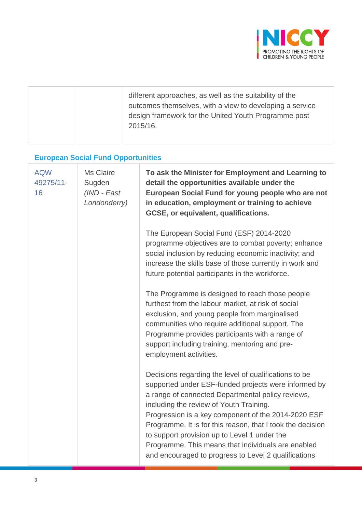

|  | different approaches, as well as the suitability of the<br>outcomes themselves, with a view to developing a service<br>design framework for the United Youth Programme post<br>2015/16. |
|--|-----------------------------------------------------------------------------------------------------------------------------------------------------------------------------------------|
|  |                                                                                                                                                                                         |

# **European Social Fund Opportunities**

| <b>AQW</b><br>49275/11-<br>16 | Ms Claire<br>Sugden<br>(IND - East<br>Londonderry) | To ask the Minister for Employment and Learning to<br>detail the opportunities available under the<br>European Social Fund for young people who are not<br>in education, employment or training to achieve<br>GCSE, or equivalent, qualifications.                                                                                                                                                                                                                                               |
|-------------------------------|----------------------------------------------------|--------------------------------------------------------------------------------------------------------------------------------------------------------------------------------------------------------------------------------------------------------------------------------------------------------------------------------------------------------------------------------------------------------------------------------------------------------------------------------------------------|
|                               |                                                    | The European Social Fund (ESF) 2014-2020<br>programme objectives are to combat poverty; enhance<br>social inclusion by reducing economic inactivity; and<br>increase the skills base of those currently in work and<br>future potential participants in the workforce.                                                                                                                                                                                                                           |
|                               |                                                    | The Programme is designed to reach those people<br>furthest from the labour market, at risk of social<br>exclusion, and young people from marginalised<br>communities who require additional support. The<br>Programme provides participants with a range of<br>support including training, mentoring and pre-<br>employment activities.                                                                                                                                                         |
|                               |                                                    | Decisions regarding the level of qualifications to be<br>supported under ESF-funded projects were informed by<br>a range of connected Departmental policy reviews,<br>including the review of Youth Training.<br>Progression is a key component of the 2014-2020 ESF<br>Programme. It is for this reason, that I took the decision<br>to support provision up to Level 1 under the<br>Programme. This means that individuals are enabled<br>and encouraged to progress to Level 2 qualifications |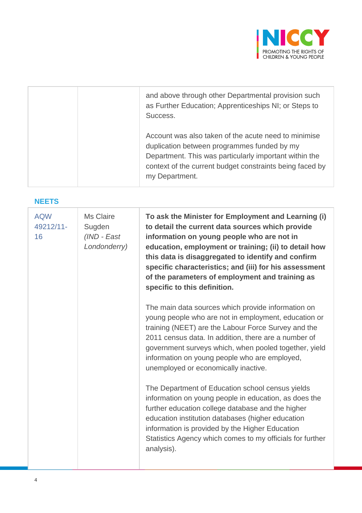

| and above through other Departmental provision such<br>as Further Education; Apprenticeships NI; or Steps to<br>Success.                                                                                                                    |
|---------------------------------------------------------------------------------------------------------------------------------------------------------------------------------------------------------------------------------------------|
| Account was also taken of the acute need to minimise<br>duplication between programmes funded by my<br>Department. This was particularly important within the<br>context of the current budget constraints being faced by<br>my Department. |

### **NEETS**

| <b>AQW</b><br>49212/11-<br>16 | Ms Claire<br>Sugden<br>(IND - East<br>Londonderry) | To ask the Minister for Employment and Learning (i)<br>to detail the current data sources which provide<br>information on young people who are not in<br>education, employment or training; (ii) to detail how<br>this data is disaggregated to identify and confirm<br>specific characteristics; and (iii) for his assessment<br>of the parameters of employment and training as<br>specific to this definition. |
|-------------------------------|----------------------------------------------------|-------------------------------------------------------------------------------------------------------------------------------------------------------------------------------------------------------------------------------------------------------------------------------------------------------------------------------------------------------------------------------------------------------------------|
|                               |                                                    | The main data sources which provide information on<br>young people who are not in employment, education or<br>training (NEET) are the Labour Force Survey and the<br>2011 census data. In addition, there are a number of<br>government surveys which, when pooled together, yield<br>information on young people who are employed,<br>unemployed or economically inactive.                                       |
|                               |                                                    | The Department of Education school census yields<br>information on young people in education, as does the<br>further education college database and the higher<br>education institution databases (higher education<br>information is provided by the Higher Education<br>Statistics Agency which comes to my officials for further<br>analysis).                                                                 |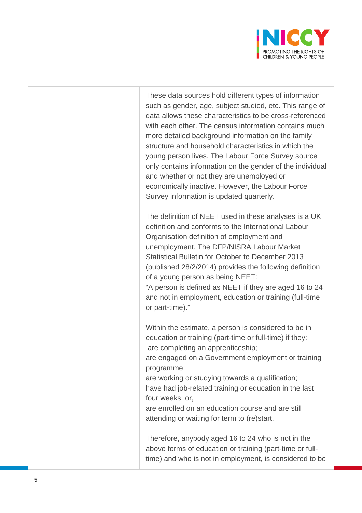

These data sources hold different types of information such as gender, age, subject studied, etc. This range of data allows these characteristics to be cross-referenced with each other. The census information contains much more detailed background information on the family structure and household characteristics in which the young person lives. The Labour Force Survey source only contains information on the gender of the individual and whether or not they are unemployed or economically inactive. However, the Labour Force Survey information is updated quarterly.

The definition of NEET used in these analyses is a UK definition and conforms to the International Labour Organisation definition of employment and unemployment. The DFP/NISRA Labour Market Statistical Bulletin for October to December 2013 (published 28/2/2014) provides the following definition of a young person as being NEET: "A person is defined as NEET if they are aged 16 to 24

and not in employment, education or training (full-time or part-time)."

Within the estimate, a person is considered to be in education or training (part-time or full-time) if they: are completing an apprenticeship;

are engaged on a Government employment or training programme;

are working or studying towards a qualification; have had job-related training or education in the last four weeks; or,

are enrolled on an education course and are still attending or waiting for term to (re)start.

Therefore, anybody aged 16 to 24 who is not in the above forms of education or training (part-time or fulltime) and who is not in employment, is considered to be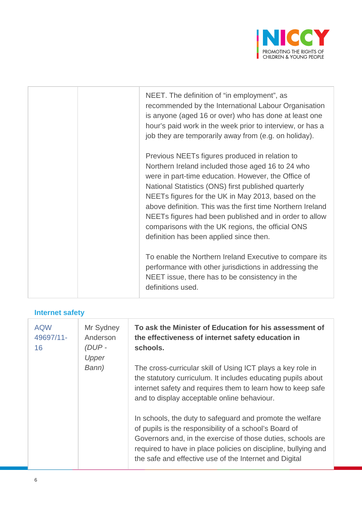

|  | NEET. The definition of "in employment", as<br>recommended by the International Labour Organisation<br>is anyone (aged 16 or over) who has done at least one<br>hour's paid work in the week prior to interview, or has a<br>job they are temporarily away from (e.g. on holiday).                                                                                                                                                                                                                                                                                                                                                                                                          |
|--|---------------------------------------------------------------------------------------------------------------------------------------------------------------------------------------------------------------------------------------------------------------------------------------------------------------------------------------------------------------------------------------------------------------------------------------------------------------------------------------------------------------------------------------------------------------------------------------------------------------------------------------------------------------------------------------------|
|  | Previous NEETs figures produced in relation to<br>Northern Ireland included those aged 16 to 24 who<br>were in part-time education. However, the Office of<br>National Statistics (ONS) first published quarterly<br>NEETs figures for the UK in May 2013, based on the<br>above definition. This was the first time Northern Ireland<br>NEETs figures had been published and in order to allow<br>comparisons with the UK regions, the official ONS<br>definition has been applied since then.<br>To enable the Northern Ireland Executive to compare its<br>performance with other jurisdictions in addressing the<br>NEET issue, there has to be consistency in the<br>definitions used. |
|  |                                                                                                                                                                                                                                                                                                                                                                                                                                                                                                                                                                                                                                                                                             |

## **Internet safety**

| <b>AQW</b><br>49697/11-<br>16 | Mr Sydney<br>Anderson<br>(DUP-<br>Upper | To ask the Minister of Education for his assessment of<br>the effectiveness of internet safety education in<br>schools.                                                                                                                                                                                        |
|-------------------------------|-----------------------------------------|----------------------------------------------------------------------------------------------------------------------------------------------------------------------------------------------------------------------------------------------------------------------------------------------------------------|
|                               | Bann)                                   | The cross-curricular skill of Using ICT plays a key role in<br>the statutory curriculum. It includes educating pupils about<br>internet safety and requires them to learn how to keep safe<br>and to display acceptable online behaviour.                                                                      |
|                               |                                         | In schools, the duty to safeguard and promote the welfare<br>of pupils is the responsibility of a school's Board of<br>Governors and, in the exercise of those duties, schools are<br>required to have in place policies on discipline, bullying and<br>the safe and effective use of the Internet and Digital |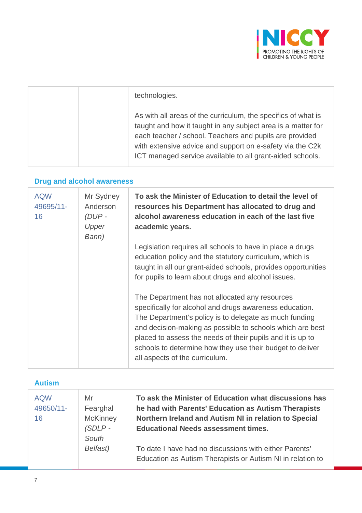

| technologies.                                                                                                                                                                                                                                                                                                      |
|--------------------------------------------------------------------------------------------------------------------------------------------------------------------------------------------------------------------------------------------------------------------------------------------------------------------|
| As with all areas of the curriculum, the specifics of what is<br>taught and how it taught in any subject area is a matter for<br>each teacher / school. Teachers and pupils are provided<br>with extensive advice and support on e-safety via the C2k<br>ICT managed service available to all grant-aided schools. |

## **Drug and alcohol awareness**

| <b>AQW</b><br>49695/11-<br>16 | Mr Sydney<br>Anderson<br>(DUP -<br>Upper<br>Bann) | To ask the Minister of Education to detail the level of<br>resources his Department has allocated to drug and<br>alcohol awareness education in each of the last five<br>academic years.                                                                                                                                                                                                      |
|-------------------------------|---------------------------------------------------|-----------------------------------------------------------------------------------------------------------------------------------------------------------------------------------------------------------------------------------------------------------------------------------------------------------------------------------------------------------------------------------------------|
|                               |                                                   | Legislation requires all schools to have in place a drugs<br>education policy and the statutory curriculum, which is<br>taught in all our grant-aided schools, provides opportunities<br>for pupils to learn about drugs and alcohol issues.                                                                                                                                                  |
|                               |                                                   | The Department has not allocated any resources<br>specifically for alcohol and drugs awareness education.<br>The Department's policy is to delegate as much funding<br>and decision-making as possible to schools which are best<br>placed to assess the needs of their pupils and it is up to<br>schools to determine how they use their budget to deliver<br>all aspects of the curriculum. |

| <b>Autism</b>                 |                                                |                                                                                                                                                                                                                     |
|-------------------------------|------------------------------------------------|---------------------------------------------------------------------------------------------------------------------------------------------------------------------------------------------------------------------|
| <b>AQW</b><br>49650/11-<br>16 | Mr<br>Fearghal<br><b>McKinney</b><br>$(SDLP -$ | To ask the Minister of Education what discussions has<br>he had with Parents' Education as Autism Therapists<br>Northern Ireland and Autism NI in relation to Special<br><b>Educational Needs assessment times.</b> |
|                               | South<br>Belfast)                              | To date I have had no discussions with either Parents'<br>Education as Autism Therapists or Autism NI in relation to                                                                                                |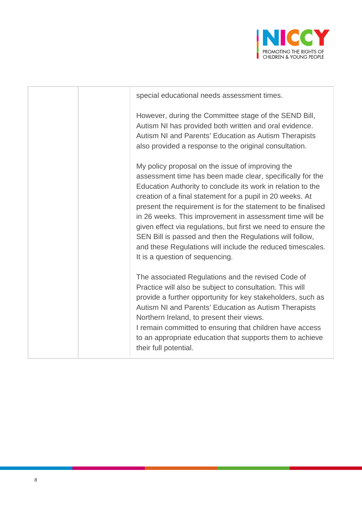

| special educational needs assessment times.                                                                                                                                                                                                                                                                                                                                                                                                                                                                                                                                                         |
|-----------------------------------------------------------------------------------------------------------------------------------------------------------------------------------------------------------------------------------------------------------------------------------------------------------------------------------------------------------------------------------------------------------------------------------------------------------------------------------------------------------------------------------------------------------------------------------------------------|
| However, during the Committee stage of the SEND Bill,<br>Autism NI has provided both written and oral evidence.<br>Autism NI and Parents' Education as Autism Therapists<br>also provided a response to the original consultation.                                                                                                                                                                                                                                                                                                                                                                  |
| My policy proposal on the issue of improving the<br>assessment time has been made clear, specifically for the<br>Education Authority to conclude its work in relation to the<br>creation of a final statement for a pupil in 20 weeks. At<br>present the requirement is for the statement to be finalised<br>in 26 weeks. This improvement in assessment time will be<br>given effect via regulations, but first we need to ensure the<br>SEN Bill is passed and then the Regulations will follow,<br>and these Regulations will include the reduced timescales.<br>It is a question of sequencing. |
| The associated Regulations and the revised Code of<br>Practice will also be subject to consultation. This will<br>provide a further opportunity for key stakeholders, such as<br>Autism NI and Parents' Education as Autism Therapists<br>Northern Ireland, to present their views.<br>I remain committed to ensuring that children have access<br>to an appropriate education that supports them to achieve<br>their full potential.                                                                                                                                                               |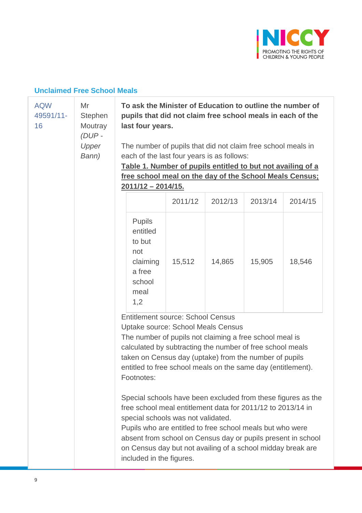

## **Unclaimed Free School Meals**

| <b>AQW</b><br>49591/11-<br>16 | Mr<br>Stephen<br>Moutray<br>(DUP-<br>Upper<br>Bann) | To ask the Minister of Education to outline the number of<br>pupils that did not claim free school meals in each of the<br>last four years.<br>The number of pupils that did not claim free school meals in<br>each of the last four years is as follows:<br>Table 1. Number of pupils entitled to but not availing of a<br>free school meal on the day of the School Meals Census;<br>2011/12 - 2014/15. |                                                                                                                                                                                                                                                                                                                                                               |         |         |         |
|-------------------------------|-----------------------------------------------------|-----------------------------------------------------------------------------------------------------------------------------------------------------------------------------------------------------------------------------------------------------------------------------------------------------------------------------------------------------------------------------------------------------------|---------------------------------------------------------------------------------------------------------------------------------------------------------------------------------------------------------------------------------------------------------------------------------------------------------------------------------------------------------------|---------|---------|---------|
|                               |                                                     |                                                                                                                                                                                                                                                                                                                                                                                                           | 2011/12                                                                                                                                                                                                                                                                                                                                                       | 2012/13 | 2013/14 | 2014/15 |
|                               |                                                     | <b>Pupils</b><br>entitled<br>to but<br>not<br>claiming<br>a free<br>school<br>meal<br>1,2                                                                                                                                                                                                                                                                                                                 | 15,512                                                                                                                                                                                                                                                                                                                                                        | 14,865  | 15,905  | 18,546  |
|                               |                                                     | <b>Entitlement source: School Census</b><br><b>Uptake source: School Meals Census</b><br>The number of pupils not claiming a free school meal is<br>calculated by subtracting the number of free school meals<br>taken on Census day (uptake) from the number of pupils<br>entitled to free school meals on the same day (entitlement).<br>Footnotes:                                                     |                                                                                                                                                                                                                                                                                                                                                               |         |         |         |
|                               |                                                     | included in the figures.                                                                                                                                                                                                                                                                                                                                                                                  | Special schools have been excluded from these figures as the<br>free school meal entitlement data for 2011/12 to 2013/14 in<br>special schools was not validated.<br>Pupils who are entitled to free school meals but who were<br>absent from school on Census day or pupils present in school<br>on Census day but not availing of a school midday break are |         |         |         |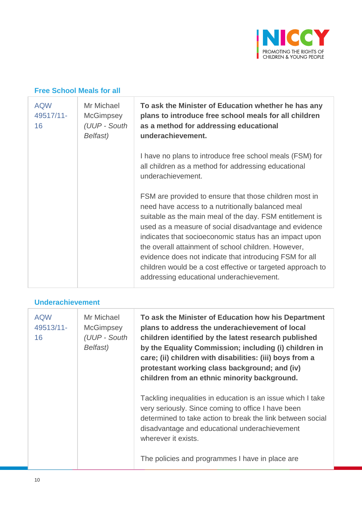

### **Free School Meals for all**

| <b>AQW</b><br>49517/11-<br>16 | Mr Michael<br><b>McGimpsey</b><br>(UUP - South<br>Belfast) | To ask the Minister of Education whether he has any<br>plans to introduce free school meals for all children<br>as a method for addressing educational<br>underachievement.                                                                                                                                                                                                                                                                                                                                            |
|-------------------------------|------------------------------------------------------------|------------------------------------------------------------------------------------------------------------------------------------------------------------------------------------------------------------------------------------------------------------------------------------------------------------------------------------------------------------------------------------------------------------------------------------------------------------------------------------------------------------------------|
|                               |                                                            | I have no plans to introduce free school meals (FSM) for<br>all children as a method for addressing educational<br>underachievement.                                                                                                                                                                                                                                                                                                                                                                                   |
|                               |                                                            | FSM are provided to ensure that those children most in<br>need have access to a nutritionally balanced meal<br>suitable as the main meal of the day. FSM entitlement is<br>used as a measure of social disadvantage and evidence<br>indicates that socioeconomic status has an impact upon<br>the overall attainment of school children. However,<br>evidence does not indicate that introducing FSM for all<br>children would be a cost effective or targeted approach to<br>addressing educational underachievement. |

### **Underachievement**

| <b>AQW</b><br>49513/11-<br>16 | Mr Michael<br><b>McGimpsey</b><br>(UUP - South<br>Belfast) | To ask the Minister of Education how his Department<br>plans to address the underachievement of local<br>children identified by the latest research published<br>by the Equality Commission; including (i) children in<br>care; (ii) children with disabilities: (iii) boys from a<br>protestant working class background; and (iv)<br>children from an ethnic minority background. |
|-------------------------------|------------------------------------------------------------|-------------------------------------------------------------------------------------------------------------------------------------------------------------------------------------------------------------------------------------------------------------------------------------------------------------------------------------------------------------------------------------|
|                               |                                                            | Tackling inequalities in education is an issue which I take<br>very seriously. Since coming to office I have been<br>determined to take action to break the link between social<br>disadvantage and educational underachievement<br>wherever it exists.<br>The policies and programmes I have in place are                                                                          |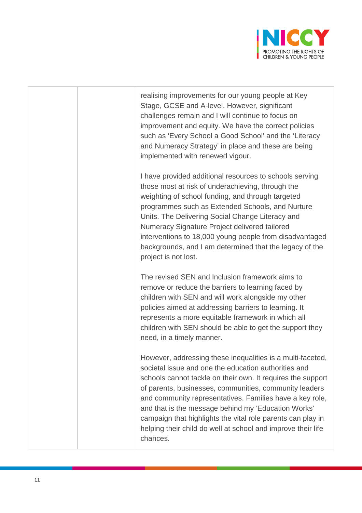

realising improvements for our young people at Key Stage, GCSE and A-level. However, significant challenges remain and I will continue to focus on improvement and equity. We have the correct policies such as 'Every School a Good School' and the 'Literacy and Numeracy Strategy' in place and these are being implemented with renewed vigour.

I have provided additional resources to schools serving those most at risk of underachieving, through the weighting of school funding, and through targeted programmes such as Extended Schools, and Nurture Units. The Delivering Social Change Literacy and Numeracy Signature Project delivered tailored interventions to 18,000 young people from disadvantaged backgrounds, and I am determined that the legacy of the project is not lost.

The revised SEN and Inclusion framework aims to remove or reduce the barriers to learning faced by children with SEN and will work alongside my other policies aimed at addressing barriers to learning. It represents a more equitable framework in which all children with SEN should be able to get the support they need, in a timely manner.

However, addressing these inequalities is a multi-faceted, societal issue and one the education authorities and schools cannot tackle on their own. It requires the support of parents, businesses, communities, community leaders and community representatives. Families have a key role, and that is the message behind my 'Education Works' campaign that highlights the vital role parents can play in helping their child do well at school and improve their life chances.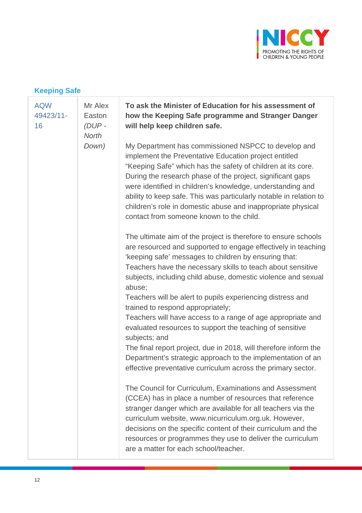

## **Keeping Safe**

| <b>AQW</b><br>49423/11-<br>16 | Mr Alex<br>Easton<br>$(DUP -$<br><b>North</b> | To ask the Minister of Education for his assessment of<br>how the Keeping Safe programme and Stranger Danger<br>will help keep children safe.                                                                                                                                                                                                                                                                                                                                              |
|-------------------------------|-----------------------------------------------|--------------------------------------------------------------------------------------------------------------------------------------------------------------------------------------------------------------------------------------------------------------------------------------------------------------------------------------------------------------------------------------------------------------------------------------------------------------------------------------------|
|                               | Down)                                         | My Department has commissioned NSPCC to develop and<br>implement the Preventative Education project entitled<br>"Keeping Safe" which has the safety of children at its core.<br>During the research phase of the project, significant gaps<br>were identified in children's knowledge, understanding and<br>ability to keep safe. This was particularly notable in relation to<br>children's role in domestic abuse and inappropriate physical<br>contact from someone known to the child. |
|                               |                                               | The ultimate aim of the project is therefore to ensure schools<br>are resourced and supported to engage effectively in teaching<br>'keeping safe' messages to children by ensuring that:<br>Teachers have the necessary skills to teach about sensitive<br>subjects, including child abuse, domestic violence and sexual<br>abuse;                                                                                                                                                         |
|                               |                                               | Teachers will be alert to pupils experiencing distress and<br>trained to respond appropriately;<br>Teachers will have access to a range of age appropriate and<br>evaluated resources to support the teaching of sensitive                                                                                                                                                                                                                                                                 |
|                               |                                               | subjects; and<br>The final report project, due in 2018, will therefore inform the<br>Department's strategic approach to the implementation of an<br>effective preventative curriculum across the primary sector.                                                                                                                                                                                                                                                                           |
|                               |                                               | The Council for Curriculum, Examinations and Assessment<br>(CCEA) has in place a number of resources that reference<br>stranger danger which are available for all teachers via the<br>curriculum website, www.nicurriculum.org.uk. However,<br>decisions on the specific content of their curriculum and the<br>resources or programmes they use to deliver the curriculum<br>are a matter for each school/teacher.                                                                       |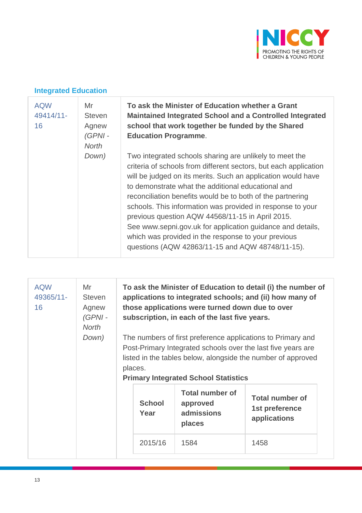

### **Integrated Education**

| <b>AQW</b><br>49414/11-<br>16 | Mr<br><b>Steven</b><br>Agnew<br>$(GPNI -$<br><b>North</b> | To ask the Minister of Education whether a Grant<br><b>Maintained Integrated School and a Controlled Integrated</b><br>school that work together be funded by the Shared<br><b>Education Programme.</b>                                                                                                                                                                                                                                                                                                                                                                                                    |
|-------------------------------|-----------------------------------------------------------|------------------------------------------------------------------------------------------------------------------------------------------------------------------------------------------------------------------------------------------------------------------------------------------------------------------------------------------------------------------------------------------------------------------------------------------------------------------------------------------------------------------------------------------------------------------------------------------------------------|
|                               | Down)                                                     | Two integrated schools sharing are unlikely to meet the<br>criteria of schools from different sectors, but each application<br>will be judged on its merits. Such an application would have<br>to demonstrate what the additional educational and<br>reconciliation benefits would be to both of the partnering<br>schools. This information was provided in response to your<br>previous question AQW 44568/11-15 in April 2015.<br>See www.sepni.gov.uk for application guidance and details,<br>which was provided in the response to your previous<br>questions (AQW 42863/11-15 and AQW 48748/11-15). |

| <b>AQW</b><br>Mr<br>49365/11-<br><b>Steven</b><br>16<br>Agnew<br>$(GPNI -$<br><b>North</b><br>Down) |  | To ask the Minister of Education to detail (i) the number of<br>applications to integrated schools; and (ii) how many of<br>those applications were turned down due to over<br>subscription, in each of the last five years.<br>The numbers of first preference applications to Primary and<br>Post-Primary Integrated schools over the last five years are<br>listed in the tables below, alongside the number of approved<br>places.<br><b>Primary Integrated School Statistics</b> |                                                            |                                                          |  |
|-----------------------------------------------------------------------------------------------------|--|---------------------------------------------------------------------------------------------------------------------------------------------------------------------------------------------------------------------------------------------------------------------------------------------------------------------------------------------------------------------------------------------------------------------------------------------------------------------------------------|------------------------------------------------------------|----------------------------------------------------------|--|
|                                                                                                     |  | <b>School</b><br>Year                                                                                                                                                                                                                                                                                                                                                                                                                                                                 | <b>Total number of</b><br>approved<br>admissions<br>places | <b>Total number of</b><br>1st preference<br>applications |  |
|                                                                                                     |  | 2015/16                                                                                                                                                                                                                                                                                                                                                                                                                                                                               | 1584                                                       | 1458                                                     |  |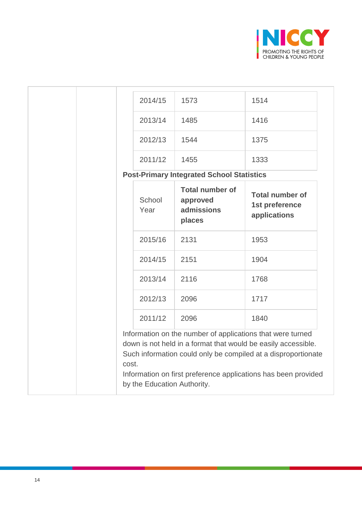

|                                                                                                                                                                                                                                                                                                        | 2014/15        | 1573                                                       | 1514                                                     |
|--------------------------------------------------------------------------------------------------------------------------------------------------------------------------------------------------------------------------------------------------------------------------------------------------------|----------------|------------------------------------------------------------|----------------------------------------------------------|
|                                                                                                                                                                                                                                                                                                        | 2013/14        | 1485                                                       | 1416                                                     |
|                                                                                                                                                                                                                                                                                                        | 2012/13        | 1544                                                       | 1375                                                     |
|                                                                                                                                                                                                                                                                                                        | 2011/12        | 1455                                                       | 1333                                                     |
|                                                                                                                                                                                                                                                                                                        |                | <b>Post-Primary Integrated School Statistics</b>           |                                                          |
|                                                                                                                                                                                                                                                                                                        | School<br>Year | <b>Total number of</b><br>approved<br>admissions<br>places | <b>Total number of</b><br>1st preference<br>applications |
|                                                                                                                                                                                                                                                                                                        | 2015/16        | 2131                                                       | 1953                                                     |
|                                                                                                                                                                                                                                                                                                        | 2014/15        | 2151                                                       | 1904                                                     |
|                                                                                                                                                                                                                                                                                                        | 2013/14        | 2116                                                       | 1768                                                     |
|                                                                                                                                                                                                                                                                                                        | 2012/13        | 2096                                                       | 1717                                                     |
|                                                                                                                                                                                                                                                                                                        | 2011/12        | 2096                                                       | 1840                                                     |
| Information on the number of applications that were turned<br>down is not held in a format that would be easily accessible.<br>Such information could only be compiled at a disproportionate<br>cost.<br>Information on first preference applications has been provided<br>by the Education Authority. |                |                                                            |                                                          |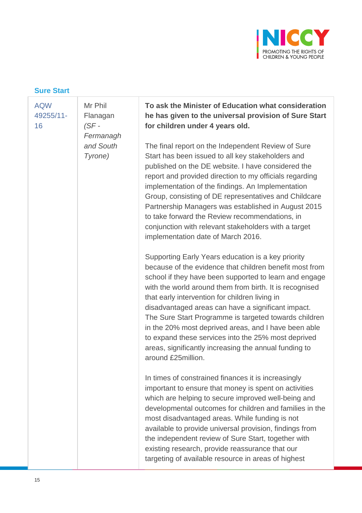

### **Sure Start**

| <b>AQW</b><br>49255/11-<br>16 | Mr Phil<br>Flanagan<br>$(SF -$<br>Fermanagh | To ask the Minister of Education what consideration<br>he has given to the universal provision of Sure Start<br>for children under 4 years old.                                                                                                                                                                                                                                                                                                                                                                                                                                                   |
|-------------------------------|---------------------------------------------|---------------------------------------------------------------------------------------------------------------------------------------------------------------------------------------------------------------------------------------------------------------------------------------------------------------------------------------------------------------------------------------------------------------------------------------------------------------------------------------------------------------------------------------------------------------------------------------------------|
|                               | and South<br>Tyrone)                        | The final report on the Independent Review of Sure<br>Start has been issued to all key stakeholders and<br>published on the DE website. I have considered the<br>report and provided direction to my officials regarding<br>implementation of the findings. An Implementation<br>Group, consisting of DE representatives and Childcare<br>Partnership Managers was established in August 2015<br>to take forward the Review recommendations, in<br>conjunction with relevant stakeholders with a target<br>implementation date of March 2016.                                                     |
|                               |                                             | Supporting Early Years education is a key priority<br>because of the evidence that children benefit most from<br>school if they have been supported to learn and engage<br>with the world around them from birth. It is recognised<br>that early intervention for children living in<br>disadvantaged areas can have a significant impact.<br>The Sure Start Programme is targeted towards children<br>in the 20% most deprived areas, and I have been able<br>to expand these services into the 25% most deprived<br>areas, significantly increasing the annual funding to<br>around £25million. |
|                               |                                             | In times of constrained finances it is increasingly<br>important to ensure that money is spent on activities<br>which are helping to secure improved well-being and<br>developmental outcomes for children and families in the<br>most disadvantaged areas. While funding is not<br>available to provide universal provision, findings from<br>the independent review of Sure Start, together with<br>existing research, provide reassurance that our<br>targeting of available resource in areas of highest                                                                                      |